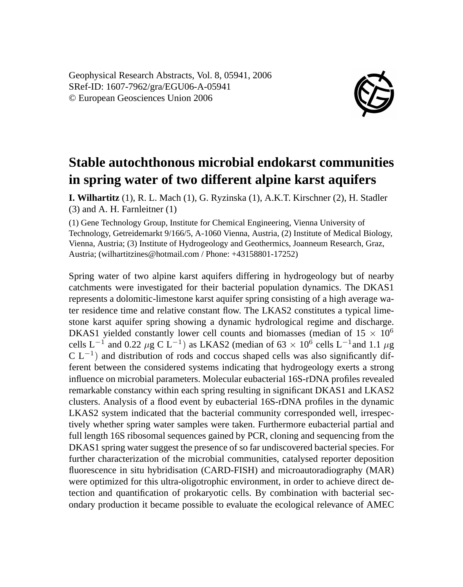Geophysical Research Abstracts, Vol. 8, 05941, 2006 SRef-ID: 1607-7962/gra/EGU06-A-05941 © European Geosciences Union 2006



## **Stable autochthonous microbial endokarst communities in spring water of two different alpine karst aquifers**

**I. Wilhartitz** (1), R. L. Mach (1), G. Ryzinska (1), A.K.T. Kirschner (2), H. Stadler (3) and A. H. Farnleitner (1)

(1) Gene Technology Group, Institute for Chemical Engineering, Vienna University of Technology, Getreidemarkt 9/166/5, A-1060 Vienna, Austria, (2) Institute of Medical Biology, Vienna, Austria; (3) Institute of Hydrogeology and Geothermics, Joanneum Research, Graz, Austria; (wilhartitzines@hotmail.com / Phone: +43158801-17252)

Spring water of two alpine karst aquifers differing in hydrogeology but of nearby catchments were investigated for their bacterial population dynamics. The DKAS1 represents a dolomitic-limestone karst aquifer spring consisting of a high average water residence time and relative constant flow. The LKAS2 constitutes a typical limestone karst aquifer spring showing a dynamic hydrological regime and discharge. DKAS1 yielded constantly lower cell counts and biomasses (median of  $15 \times 10^6$ ) cells L<sup>-1</sup> and 0.22  $\mu$ g C L<sup>-1</sup>) as LKAS2 (median of 63 × 10<sup>6</sup> cells L<sup>-1</sup> and 1.1  $\mu$ g  $CL^{-1}$ ) and distribution of rods and coccus shaped cells was also significantly different between the considered systems indicating that hydrogeology exerts a strong influence on microbial parameters. Molecular eubacterial 16S-rDNA profiles revealed remarkable constancy within each spring resulting in significant DKAS1 and LKAS2 clusters. Analysis of a flood event by eubacterial 16S-rDNA profiles in the dynamic LKAS2 system indicated that the bacterial community corresponded well, irrespectively whether spring water samples were taken. Furthermore eubacterial partial and full length 16S ribosomal sequences gained by PCR, cloning and sequencing from the DKAS1 spring water suggest the presence of so far undiscovered bacterial species. For further characterization of the microbial communities, catalysed reporter deposition fluorescence in situ hybridisation (CARD-FISH) and microautoradiography (MAR) were optimized for this ultra-oligotrophic environment, in order to achieve direct detection and quantification of prokaryotic cells. By combination with bacterial secondary production it became possible to evaluate the ecological relevance of AMEC